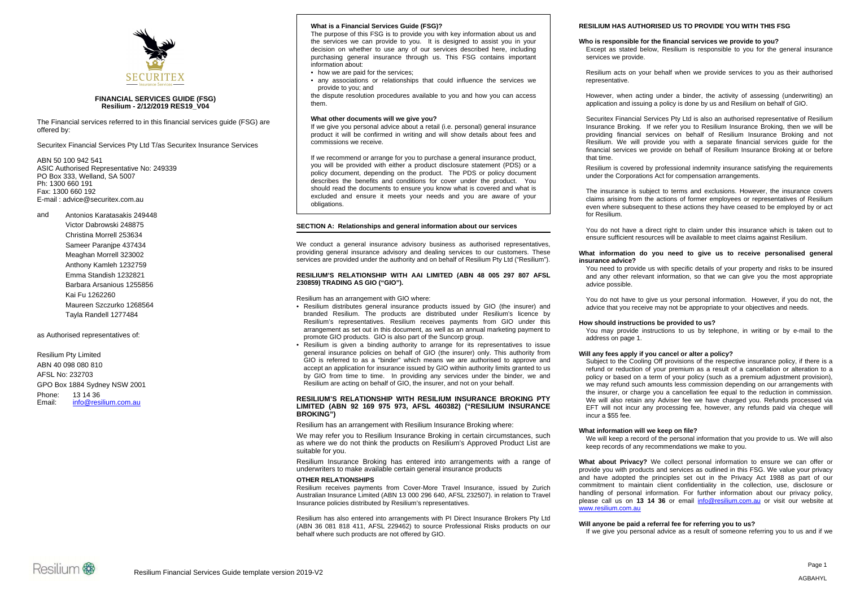

# **FINANCIAL SERVICES GUIDE (FSG) Resilium - 2/12/2019 RES19\_V04**

The Financial services referred to in this financial services guide (FSG) are offered by:

Securitex Financial Services Pty Ltd T/as Securitex Insurance Services

ABN 50 100 942 541 ASIC Authorised Representative No: 249339 PO Box 333, Welland, SA 5007 Ph: 1300 660 191 Fax: 1300 660 192 E-mail : advice@securitex.com.au

and Antonios Karatasakis 249448

Victor Dabrowski 248875 Christina Morrell 253634 Sameer Paranipe 437434 Meaghan Morrell 323002 Anthony Kamleh 1232759 Emma Standish 1232821 Barbara Arsanious 1255856 Kai Fu 1262260 Maureen Szczurko 1268564 Tayla Randell 1277484

as Authorised representatives of:

Resilium Pty Limited ABN 40 098 080 810 AFSL No: 232703 GPO Box 1884 Sydney NSW 2001 Phone: 13 14 36 Email: info@resilium.com.au

## **What is a Financial Services Guide (FSG)?**

The purpose of this FSG is to provide you with key information about us and the services we can provide to you. It is designed to assist you in your decision on whether to use any of our services described here, including purchasing general insurance through us. This FSG contains important information about:

- how we are paid for the services;
- any associations or relationships that could influence the services we provide to you; and

the dispute resolution procedures available to you and how you can access them.

## **What other documents will we give you?**

If we give you personal advice about a retail (i.e. personal) general insurance product it will be confirmed in writing and will show details about fees and commissions we receive.

If we recommend or arrange for you to purchase a general insurance product, you will be provided with either a product disclosure statement (PDS) or a policy document, depending on the product. The PDS or policy document describes the benefits and conditions for cover under the product. You should read the documents to ensure you know what is covered and what is excluded and ensure it meets your needs and you are aware of your obligations.

# **SECTION A: Relationships and general information about our services**

We conduct a general insurance advisory business as authorised representatives, providing general insurance advisory and dealing services to our customers. These services are provided under the authority and on behalf of Resilium Pty Ltd ("Resilium").

# **RESILIUM'S RELATIONSHIP WITH AAI LIMITED (ABN 48 005 297 807 AFSL 230859) TRADING AS GIO ("GIO").**

Resilium has an arrangement with GIO where:

- Resilium distributes general insurance products issued by GIO (the insurer) and branded Resilium. The products are distributed under Resilium's licence by Resilium's representatives. Resilium receives payments from GIO under this arrangement as set out in this document, as well as an annual marketing payment to promote GIO products. GIO is also part of the Suncorp group.
- Resilium is given a binding authority to arrange for its representatives to issue general insurance policies on behalf of GIO (the insurer) only. This authority from GIO is referred to as a "binder" which means we are authorised to approve and accept an application for insurance issued by GIO within authority limits granted to us by GIO from time to time. In providing any services under the binder, we and Resilium are acting on behalf of GIO, the insurer, and not on your behalf.

## **RESILIUM'S RELATIONSHIP WITH RESILIUM INSURANCE BROKING PTY LIMITED (ABN 92 169 975 973, AFSL 460382) ("RESILIUM INSURANCE BROKING")**

Resilium has an arrangement with Resilium Insurance Broking where:

We may refer you to Resilium Insurance Broking in certain circumstances, such as where we do not think the products on Resilium's Approved Product List are suitable for you.

Resilium Insurance Broking has entered into arrangements with a range of underwriters to make available certain general insurance products

## **OTHER RELATIONSHIPS**

Resilium receives payments from Cover-More Travel Insurance, issued by Zurich Australian Insurance Limited (ABN 13 000 296 640, AFSL 232507). in relation to Travel Insurance policies distributed by Resilium's representatives.

Resilium has also entered into arrangements with PI Direct Insurance Brokers Pty Ltd (ABN 36 081 818 411, AFSL 229462) to source Professional Risks products on our behalf where such products are not offered by GIO.

## **RESILIUM HAS AUTHORISED US TO PROVIDE YOU WITH THIS FSG**

## **Who is responsible for the financial services we provide to you?**

Except as stated below, Resilium is responsible to you for the general insurance services we provide.

Resilium acts on your behalf when we provide services to you as their authorised representative.

However, when acting under a binder, the activity of assessing (underwriting) an application and issuing a policy is done by us and Resilium on behalf of GIO.

Securitex Financial Services Pty Ltd is also an authorised representative of Resilium Insurance Broking. If we refer you to Resilium Insurance Broking, then we will be providing financial services on behalf of Resilium Insurance Broking and not Resilium. We will provide you with a separate financial services guide for the financial services we provide on behalf of Resilium Insurance Broking at or before that time.

Resilium is covered by professional indemnity insurance satisfying the requirements under the Corporations Act for compensation arrangements.

The insurance is subject to terms and exclusions. However, the insurance covers claims arising from the actions of former employees or representatives of Resilium even where subsequent to these actions they have ceased to be employed by or act for Resilium.

You do not have a direct right to claim under this insurance which is taken out to ensure sufficient resources will be available to meet claims against Resilium.

## **What information do you need to give us to receive personalised general insurance advice?**

You need to provide us with specific details of your property and risks to be insured and any other relevant information, so that we can give you the most appropriate advice possible.

You do not have to give us your personal information. However, if you do not, the advice that you receive may not be appropriate to your objectives and needs.

# **How should instructions be provided to us?**

You may provide instructions to us by telephone, in writing or by e-mail to the address on page 1.

# **Will any fees apply if you cancel or alter a policy?**

Subject to the Cooling Off provisions of the respective insurance policy, if there is a refund or reduction of your premium as a result of a cancellation or alteration to a policy or based on a term of your policy (such as a premium adjustment provision), we may refund such amounts less commission depending on our arrangements with the insurer, or charge you a cancellation fee equal to the reduction in commission. We will also retain any Adviser fee we have charged you. Refunds processed via EFT will not incur any processing fee, however, any refunds paid via cheque will incur a \$55 fee.

# **What information will we keep on file?**

We will keep a record of the personal information that you provide to us. We will also keep records of any recommendations we make to you.

**What about Privacy?** We collect personal information to ensure we can offer or provide you with products and services as outlined in this FSG. We value your privacy and have adopted the principles set out in the Privacy Act 1988 as part of our commitment to maintain client confidentiality in the collection, use, disclosure or handling of personal information. For further information about our privacy policy, please call us on **13 14 36** or email info@resilium.com.au or visit our website at www.resilium.com.au

## **Will anyone be paid a referral fee for referring you to us?**

If we give you personal advice as a result of someone referring you to us and if we